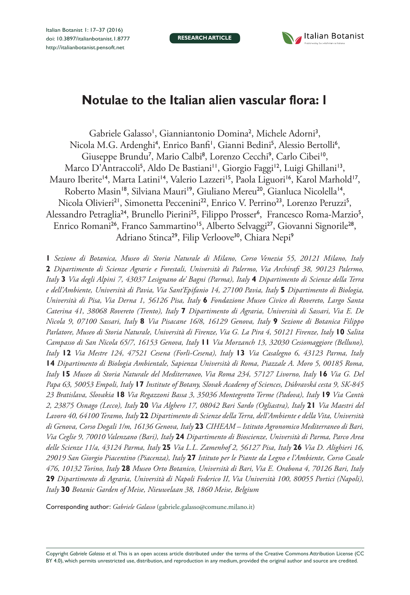**RESEARCH ARTICLE**



# **Notulae to the Italian alien vascular flora: 1**

Gabriele Galasso<sup>1</sup>, Gianniantonio Domina<sup>2</sup>, Michele Adorni<sup>3</sup>, Nicola M.G. Ardenghi<sup>4</sup>, Enrico Banfi<sup>1</sup>, Gianni Bedini<sup>5</sup>, Alessio Bertolli<sup>6</sup>, Giuseppe Brundu<sup>7</sup> , Mario Calbi<sup>8</sup> , Lorenzo Cecchi<sup>9</sup> , Carlo Cibei<sup>10</sup>, Marco D'Antraccoli<sup>5</sup>, Aldo De Bastiani<sup>11</sup>, Giorgio Faggi<sup>12</sup>, Luigi Ghillani<sup>13</sup>, Mauro Iberite<sup>14</sup>, Marta Latini<sup>14</sup>, Valerio Lazzeri<sup>15</sup>, Paola Liguori<sup>16</sup>, Karol Marhold<sup>17</sup>, Roberto Masin<sup>18</sup>, Silviana Mauri<sup>19</sup>, Giuliano Mereu<sup>20</sup>, Gianluca Nicolella<sup>14</sup>, Nicola Olivieri<sup>21</sup>, Simonetta Peccenini<sup>22</sup>, Enrico V. Perrino<sup>23</sup>, Lorenzo Peruzzi<sup>5</sup>, Alessandro Petraglia<sup>24</sup>, Brunello Pierini<sup>25</sup>, Filippo Prosser<sup>6</sup>, Francesco Roma-Marzio<sup>5</sup>, Enrico Romani<sup>26</sup>, Franco Sammartino<sup>15</sup>, Alberto Selvaggi<sup>27</sup>, Giovanni Signorile<sup>28</sup>, Adriano Stinca<sup>29</sup>, Filip Verloove<sup>30</sup>, Chiara Nepi<sup>9</sup>

**1** *Sezione di Botanica, Museo di Storia Naturale di Milano, Corso Venezia 55, 20121 Milano, Italy*  **2** *Dipartimento di Scienze Agrarie e Forestali, Università di Palermo, Via Archirafi 38, 90123 Palermo, Italy* **3** *Via degli Alpini 7, 43037 Lesignano de' Bagni (Parma), Italy* **4** *Dipartimento di Scienze della Terra e dell'Ambiente, Università di Pavia, Via Sant'Epifanio 14, 27100 Pavia, Italy* **5** *Dipartimento di Biologia, Università di Pisa, Via Derna 1, 56126 Pisa, Italy* **6** *Fondazione Museo Civico di Rovereto, Largo Santa Caterina 41, 38068 Rovereto (Trento), Italy* **7** *Dipartimento di Agraria, Università di Sassari, Via E. De Nicola 9, 07100 Sassari, Italy* **8** *Via Pisacane 16/8, 16129 Genova, Italy* **9** *Sezione di Botanica Filippo Parlatore, Museo di Storia Naturale, Università di Firenze, Via G. La Pira 4, 50121 Firenze, Italy* **10** *Salita Campasso di San Nicola 65/7, 16153 Genova, Italy* **11** *Via Morzanch 13, 32030 Cesiomaggiore (Belluno), Italy* **12** *Via Mestre 124, 47521 Cesena (Forlì-Cesena), Italy* **13** *Via Casalegno 6, 43123 Parma, Italy*  **14** *Dipartimento di Biologia Ambientale, Sapienza Università di Roma, Piazzale A. Moro 5, 00185 Roma, Italy* **15** *Museo di Storia Naturale del Mediterraneo, Via Roma 234, 57127 Livorno, Italy* **16** *Via G. Del Papa 63, 50053 Empoli, Italy* **17** *Institute of Botany, Slovak Academy of Sciences, Dúbravská cesta 9, SK-845 23 Bratislava, Slovakia* **18** *Via Regazzoni Bassa 3, 35036 Montegrotto Terme (Padova), Italy* **19** *Via Cantù 2, 23875 Osnago (Lecco), Italy* **20** *Via Alghero 17, 08042 Bari Sardo (Ogliastra), Italy* **21** *Via Maestri del Lavoro 40, 64100 Teramo, Italy* **22** *Dipartimento di Scienze della Terra, dell'Ambiente e della Vita, Università di Genova, Corso Dogali 1/m, 16136 Genova, Italy* **23** *CIHEAM – Istituto Agronomico Mediterraneo di Bari, Via Ceglie 9, 70010 Valenzano (Bari), Italy* **24** *Dipartimento di Bioscienze, Università di Parma, Parco Area delle Scienze 11/a, 43124 Parma, Italy* **25** *Via L.L. Zamenhof 2, 56127 Pisa, Italy* **26** *Via D. Alighieri 16, 29019 San Giorgio Piacentino (Piacenza), Italy* **27** *Istituto per le Piante da Legno e l'Ambiente, Corso Casale 476, 10132 Torino, Italy* **28** *Museo Orto Botanico, Università di Bari, Via E. Orabona 4, 70126 Bari, Italy*  **29** *Dipartimento di Agraria, Università di Napoli Federico II, Via Università 100, 80055 Portici (Napoli), Italy* **30** *Botanic Garden of Meise, Nieuwelaan 38, 1860 Meise, Belgium*

Corresponding author: *Gabriele Galasso* ([gabriele.galasso@comune.milano.it](mailto:gabriele.galasso@comune.milano.it))

Copyright *Gabriele Galasso et al.* This is an open access article distributed under the terms of the [Creative Commons Attribution License \(CC](http://creativecommons.org/licenses/by/4.0/)  [BY 4.0\)](http://creativecommons.org/licenses/by/4.0/), which permits unrestricted use, distribution, and reproduction in any medium, provided the original author and source are credited.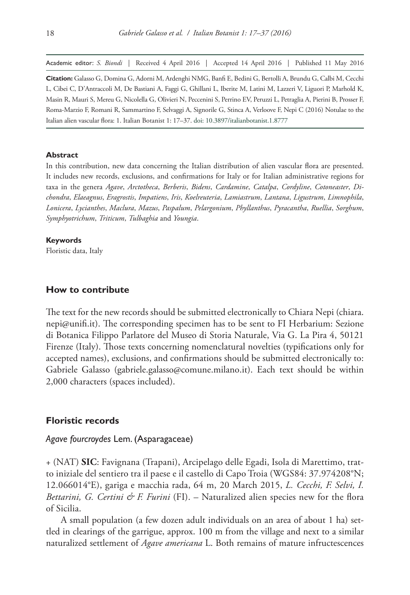Academic editor: *S. Biondi* | Received 4 April 2016 | Accepted 14 April 2016 | Published 11 May 2016

**Citation:** Galasso G, Domina G, Adorni M, Ardenghi NMG, Banfi E, Bedini G, Bertolli A, Brundu G, Calbi M, Cecchi L, Cibei C, D'Antraccoli M, De Bastiani A, Faggi G, Ghillani L, Iberite M, Latini M, Lazzeri V, Liguori P, Marhold K, Masin R, Mauri S, Mereu G, Nicolella G, Olivieri N, Peccenini S, Perrino EV, Peruzzi L, Petraglia A, Pierini B, Prosser F, Roma-Marzio F, Romani R, Sammartino F, Selvaggi A, Signorile G, Stinca A, Verloove F, Nepi C (2016) Notulae to the Italian alien vascular flora: 1. Italian Botanist 1: 17–37. [doi: 10.3897/italianbotanist.1.8777](http://dx.doi.org/10.3897/italianbotanist.1.8777)

#### **Abstract**

In this contribution, new data concerning the Italian distribution of alien vascular flora are presented. It includes new records, exclusions, and confirmations for Italy or for Italian administrative regions for taxa in the genera *Agave*, *Arctotheca*, *Berberis*, *Bidens*, *Cardamine*, *Catalpa*, *Cordyline*, *Cotoneaster*, *Dichondra*, *Elaeagnus*, *Eragrostis*, *Impatiens*, *Iris*, *Koelreuteria*, *Lamiastrum*, *Lantana*, *Ligustrum*, *Limnophila*, *Lonicera*, *Lycianthes*, *Maclura*, *Mazus*, *Paspalum*, *Pelargonium*, *Phyllanthus*, *Pyracantha*, *Ruellia*, *Sorghum*, *Symphyotrichum*, *Triticum*, *Tulbaghia* and *Youngia*.

#### **Keywords**

Floristic data, Italy

## **How to contribute**

The text for the new records should be submitted electronically to Chiara Nepi [\(chiara.](mailto:chiara.nepi@unifi.it) [nepi@unifi.it](mailto:chiara.nepi@unifi.it)). The corresponding specimen has to be sent to FI Herbarium: Sezione di Botanica Filippo Parlatore del Museo di Storia Naturale, Via G. La Pira 4, 50121 Firenze (Italy). Those texts concerning nomenclatural novelties (typifications only for accepted names), exclusions, and confirmations should be submitted electronically to: Gabriele Galasso ([gabriele.galasso@comune.milano.it](mailto:gabriele.galasso@comune.milano.it)). Each text should be within 2,000 characters (spaces included).

#### **Floristic records**

## *Agave fourcroydes* Lem. (Asparagaceae)

+ (NAT) **SIC**: Favignana (Trapani), Arcipelago delle Egadi, Isola di Marettimo, tratto iniziale del sentiero tra il paese e il castello di Capo Troia (WGS84: 37.974208°N; 12.066014°E), gariga e macchia rada, 64 m, 20 March 2015, *L. Cecchi, F. Selvi, I. Bettarini, G. Certini & F. Furini* (FI). – Naturalized alien species new for the flora of Sicilia.

A small population (a few dozen adult individuals on an area of about 1 ha) settled in clearings of the garrigue, approx. 100 m from the village and next to a similar naturalized settlement of *Agave americana* L. Both remains of mature infructescences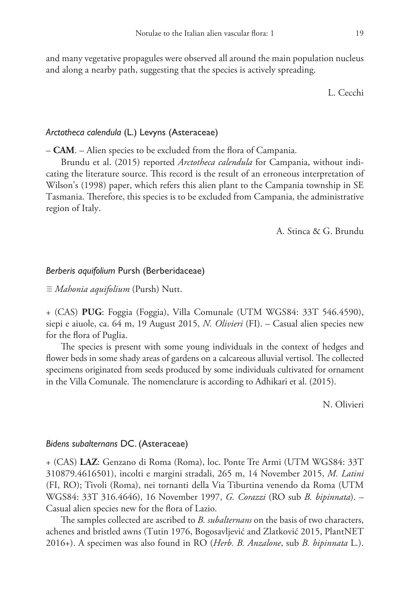and many vegetative propagules were observed all around the main population nucleus and along a nearby path, suggesting that the species is actively spreading.

L. Cecchi

## *Arctotheca calendula* (L.) Levyns (Asteraceae)

– **CAM**. – Alien species to be excluded from the flora of Campania.

Brundu et al. (2015) reported *Arctotheca calendula* for Campania, without indicating the literature source. This record is the result of an erroneous interpretation of Wilson's (1998) paper, which refers this alien plant to the Campania township in SE Tasmania. Therefore, this species is to be excluded from Campania, the administrative region of Italy.

A. Stinca & G. Brundu

## *Berberis aquifolium* Pursh (Berberidaceae)

≡ *Mahonia aquifolium* (Pursh) Nutt.

+ (CAS) **PUG**: Foggia (Foggia), Villa Comunale (UTM WGS84: 33T 546.4590), siepi e aiuole, ca. 64 m, 19 August 2015, *N. Olivieri* (FI). – Casual alien species new for the flora of Puglia.

The species is present with some young individuals in the context of hedges and flower beds in some shady areas of gardens on a calcareous alluvial vertisol. The collected specimens originated from seeds produced by some individuals cultivated for ornament in the Villa Comunale. The nomenclature is according to Adhikari et al. (2015).

N. Olivieri

#### *Bidens subalternans* DC. (Asteraceae)

+ (CAS) **LAZ**: Genzano di Roma (Roma), loc. Ponte Tre Armi (UTM WGS84: 33T 310879.4616501), incolti e margini stradali, 265 m, 14 November 2015, *M. Latini* (FI, RO); Tivoli (Roma), nei tornanti della Via Tiburtina venendo da Roma (UTM WGS84: 33T 316.4646), 16 November 1997, *G. Corazzi* (RO sub *B. bipinnata*). – Casual alien species new for the flora of Lazio.

The samples collected are ascribed to *B. subalternans* on the basis of two characters, achenes and bristled awns (Tutin 1976, Bogosavljević and Zlatković 2015, PlantNET 2016+). A specimen was also found in RO (*Herb. B. Anzalone*, sub *B. bipinnata* L.).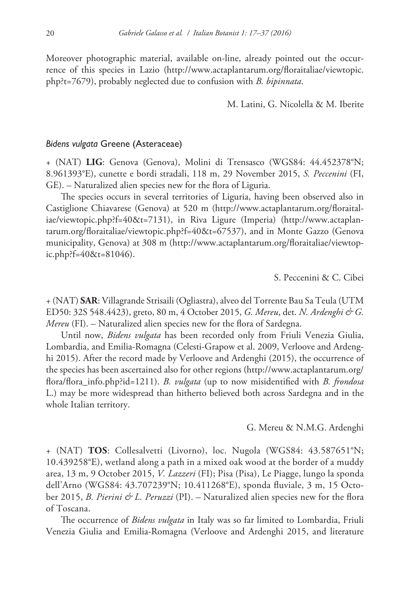Moreover photographic material, available on-line, already pointed out the occurrence of this species in Lazio [\(http://www.actaplantarum.org/floraitaliae/viewtopic.](http://www.actaplantarum.org/floraitaliae/viewtopic.php?t=7679) [php?t=7679\)](http://www.actaplantarum.org/floraitaliae/viewtopic.php?t=7679), probably neglected due to confusion with *B. bipinnata*.

M. Latini, G. Nicolella & M. Iberite

#### *Bidens vulgata* Greene (Asteraceae)

+ (NAT) **LIG**: Genova (Genova), Molini di Trensasco (WGS84: 44.452378°N; 8.961393°E), cunette e bordi stradali, 118 m, 29 November 2015, *S. Peccenini* (FI, GE). – Naturalized alien species new for the flora of Liguria.

The species occurs in several territories of Liguria, having been observed also in Castiglione Chiavarese (Genova) at 520 m ([http://www.actaplantarum.org/floraital](http://www.actaplantarum.org/floraitaliae/viewtopic.php?f=40&t=7131)[iae/viewtopic.php?f=40&t=7131](http://www.actaplantarum.org/floraitaliae/viewtopic.php?f=40&t=7131)), in Riva Ligure (Imperia) [\(http://www.actaplan](http://www.actaplantarum.org/floraitaliae/viewtopic.php?f=40&t=67537)[tarum.org/floraitaliae/viewtopic.php?f=40&t=67537](http://www.actaplantarum.org/floraitaliae/viewtopic.php?f=40&t=67537)), and in Monte Gazzo (Genova municipality, Genova) at 308 m ([http://www.actaplantarum.org/floraitaliae/viewtop](http://www.actaplantarum.org/floraitaliae/viewtopic.php?f=40&t=81046)[ic.php?f=40&t=81046\)](http://www.actaplantarum.org/floraitaliae/viewtopic.php?f=40&t=81046).

S. Peccenini & C. Cibei

+ (NAT) **SAR**: Villagrande Strisaili (Ogliastra), alveo del Torrente Bau Sa Teula (UTM ED50: 32S 548.4423), greto, 80 m, 4 October 2015, *G. Mereu*, det. *N. Ardenghi & G. Mereu* (FI). – Naturalized alien species new for the flora of Sardegna.

Until now, *Bidens vulgata* has been recorded only from Friuli Venezia Giulia, Lombardia, and Emilia-Romagna (Celesti-Grapow et al. 2009, Verloove and Ardenghi 2015). After the record made by Verloove and Ardenghi (2015), the occurrence of the species has been ascertained also for other regions ([http://www.actaplantarum.org/](http://www.actaplantarum.org/flora/flora_info.php?id=1211) [flora/flora\\_info.php?id=1211](http://www.actaplantarum.org/flora/flora_info.php?id=1211)). *B. vulgata* (up to now misidentified with *B. frondosa* L.) may be more widespread than hitherto believed both across Sardegna and in the whole Italian territory.

G. Mereu & N.M.G. Ardenghi

+ (NAT) **TOS**: Collesalvetti (Livorno), loc. Nugola (WGS84: 43.587651°N; 10.439258°E), wetland along a path in a mixed oak wood at the border of a muddy area, 13 m, 9 October 2015, *V. Lazzeri* (FI); Pisa (Pisa), Le Piagge, lungo la sponda dell'Arno (WGS84: 43.707239°N; 10.411268°E), sponda fluviale, 3 m, 15 October 2015, *B. Pierini & L. Peruzzi* (PI). – Naturalized alien species new for the flora of Toscana.

The occurrence of *Bidens vulgata* in Italy was so far limited to Lombardia, Friuli Venezia Giulia and Emilia-Romagna (Verloove and Ardenghi 2015, and literature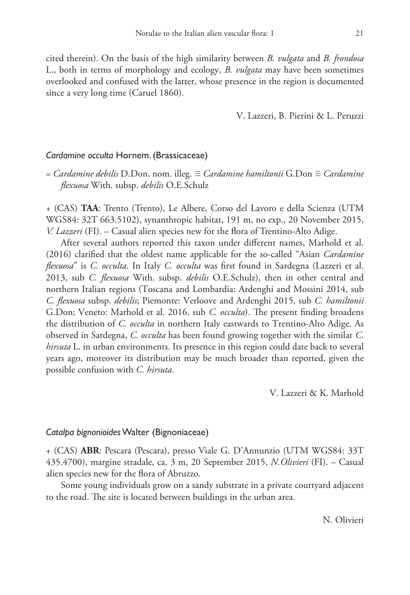cited therein). On the basis of the high similarity between *B. vulgata* and *B. frondosa* L., both in terms of morphology and ecology, *B. vulgata* may have been sometimes overlooked and confused with the latter, whose presence in the region is documented since a very long time (Caruel 1860).

V. Lazzeri, B. Pierini & L. Peruzzi

#### *Cardamine occulta* Hornem. (Brassicaceae)

= *Cardamine debilis* D.Don, nom. illeg. ≡ *Cardamine hamiltonii* G.Don ≡ *Cardamine flexuosa* With. subsp. *debilis* O.E.Schulz

+ (CAS) **TAA**: Trento (Trento), Le Albere, Corso del Lavoro e della Scienza (UTM WGS84: 32T 663.5102), synanthropic habitat, 191 m, no exp., 20 November 2015, *V. Lazzeri* (FI). – Casual alien species new for the flora of Trentino-Alto Adige.

After several authors reported this taxon under different names, Marhold et al. (2016) clarified that the oldest name applicable for the so-called "Asian *Cardamine flexuosa*" is *C. occulta*. In Italy *C. occulta* was first found in Sardegna (Lazzeri et al. 2013, sub *C. flexuosa* With. subsp. *debilis* O.E.Schulz), then in other central and northern Italian regions (Toscana and Lombardia: Ardenghi and Mossini 2014, sub *C. flexuosa* subsp. *debilis*; Piemonte: Verloove and Ardenghi 2015, sub *C. hamiltonii* G.Don; Veneto: Marhold et al. 2016, sub *C. occulta*). The present finding broadens the distribution of *C. occulta* in northern Italy eastwards to Trentino-Alto Adige. As observed in Sardegna, *C. occulta* has been found growing together with the similar *C. hirsuta* L. in urban environments. Its presence in this region could date back to several years ago, moreover its distribution may be much broader than reported, given the possible confusion with *C. hirsuta*.

V. Lazzeri & K. Marhold

#### *Catalpa bignonioides* Walter (Bignoniaceae)

+ (CAS) **ABR**: Pescara (Pescara), presso Viale G. D'Annunzio (UTM WGS84: 33T 435.4700), margine stradale, ca. 3 m, 20 September 2015, *N.Olivieri* (FI). – Casual alien species new for the flora of Abruzzo.

Some young individuals grow on a sandy substrate in a private courtyard adjacent to the road. The site is located between buildings in the urban area.

N. Olivieri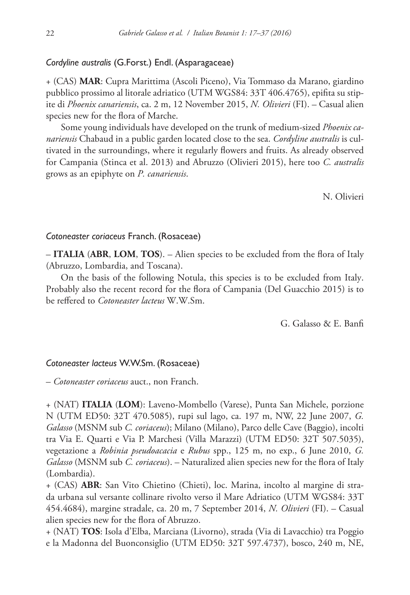## *Cordyline australis* (G.Forst.) Endl. (Asparagaceae)

+ (CAS) **MAR**: Cupra Marittima (Ascoli Piceno), Via Tommaso da Marano, giardino pubblico prossimo al litorale adriatico (UTM WGS84: 33T 406.4765), epifita su stipite di *Phoenix canariensis*, ca. 2 m, 12 November 2015, *N. Olivieri* (FI). – Casual alien species new for the flora of Marche.

Some young individuals have developed on the trunk of medium-sized *Phoenix canariensis* Chabaud in a public garden located close to the sea. *Cordyline australis* is cultivated in the surroundings, where it regularly flowers and fruits. As already observed for Campania (Stinca et al. 2013) and Abruzzo (Olivieri 2015), here too *C. australis* grows as an epiphyte on *P. canariensis*.

N. Olivieri

## *Cotoneaster coriaceus* Franch. (Rosaceae)

– **ITALIA** (**ABR**, **LOM**, **TOS**). – Alien species to be excluded from the flora of Italy (Abruzzo, Lombardia, and Toscana).

On the basis of the following Notula, this species is to be excluded from Italy. Probably also the recent record for the flora of Campania (Del Guacchio 2015) is to be reffered to *Cotoneaster lacteus* W.W.Sm.

G. Galasso & E. Banfi

## *Cotoneaster lacteus* W.W.Sm. (Rosaceae)

– *Cotoneaster coriaceus* auct., non Franch.

+ (NAT) **ITALIA** (**LOM**): Laveno-Mombello (Varese), Punta San Michele, porzione N (UTM ED50: 32T 470.5085), rupi sul lago, ca. 197 m, NW, 22 June 2007, *G. Galasso* (MSNM sub *C. coriaceus*); Milano (Milano), Parco delle Cave (Baggio), incolti tra Via E. Quarti e Via P. Marchesi (Villa Marazzi) (UTM ED50: 32T 507.5035), vegetazione a *Robinia pseudoacacia* e *Rubus* spp., 125 m, no exp., 6 June 2010, *G. Galasso* (MSNM sub *C. coriaceus*). – Naturalized alien species new for the flora of Italy (Lombardia).

+ (CAS) **ABR**: San Vito Chietino (Chieti), loc. Marina, incolto al margine di strada urbana sul versante collinare rivolto verso il Mare Adriatico (UTM WGS84: 33T 454.4684), margine stradale, ca. 20 m, 7 September 2014, *N. Olivieri* (FI). – Casual alien species new for the flora of Abruzzo.

+ (NAT) **TOS**: Isola d'Elba, Marciana (Livorno), strada (Via di Lavacchio) tra Poggio e la Madonna del Buonconsiglio (UTM ED50: 32T 597.4737), bosco, 240 m, NE,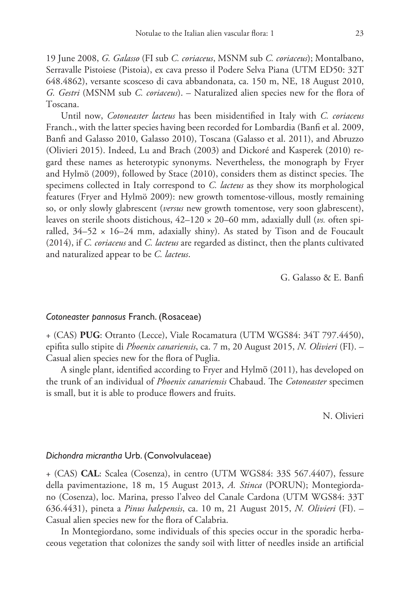19 June 2008, *G. Galasso* (FI sub *C. coriaceus*, MSNM sub *C. coriaceus*); Montalbano,

Serravalle Pistoiese (Pistoia), ex cava presso il Podere Selva Piana (UTM ED50: 32T 648.4862), versante scosceso di cava abbandonata, ca. 150 m, NE, 18 August 2010, *G. Gestri* (MSNM sub *C. coriaceus*). – Naturalized alien species new for the flora of Toscana.

Until now, *Cotoneaster lacteus* has been misidentified in Italy with *C. coriaceus* Franch., with the latter species having been recorded for Lombardia (Banfi et al. 2009, Banfi and Galasso 2010, Galasso 2010), Toscana (Galasso et al. 2011), and Abruzzo (Olivieri 2015). Indeed, Lu and Brach (2003) and Dickoré and Kasperek (2010) regard these names as heterotypic synonyms. Nevertheless, the monograph by Fryer and Hylmö (2009), followed by Stace (2010), considers them as distinct species. The specimens collected in Italy correspond to *C. lacteus* as they show its morphological features (Fryer and Hylmö 2009): new growth tomentose-villous, mostly remaining so, or only slowly glabrescent (*versus* new growth tomentose, very soon glabrescent), leaves on sterile shoots distichous, 42–120 × 20–60 mm, adaxially dull (*vs.* often spiralled,  $34-52 \times 16-24$  mm, adaxially shiny). As stated by Tison and de Foucault (2014), if *C. coriaceus* and *C. lacteus* are regarded as distinct, then the plants cultivated and naturalized appear to be *C. lacteus*.

G. Galasso & E. Banfi

## *Cotoneaster pannosus* Franch. (Rosaceae)

+ (CAS) **PUG**: Otranto (Lecce), Viale Rocamatura (UTM WGS84: 34T 797.4450), epifita sullo stipite di *Phoenix canariensis*, ca. 7 m, 20 August 2015, *N. Olivieri* (FI). – Casual alien species new for the flora of Puglia.

A single plant, identified according to Fryer and Hylmӧ (2011), has developed on the trunk of an individual of *Phoenix canariensis* Chabaud. The *Cotoneaster* specimen is small, but it is able to produce flowers and fruits.

N. Olivieri

## *Dichondra micrantha* Urb. (Convolvulaceae)

+ (CAS) **CAL**: Scalea (Cosenza), in centro (UTM WGS84: 33S 567.4407), fessure della pavimentazione, 18 m, 15 August 2013, *A. Stinca* (PORUN); Montegiordano (Cosenza), loc. Marina, presso l'alveo del Canale Cardona (UTM WGS84: 33T 636.4431), pineta a *Pinus halepensis*, ca. 10 m, 21 August 2015, *N. Olivieri* (FI). – Casual alien species new for the flora of Calabria.

In Montegiordano, some individuals of this species occur in the sporadic herbaceous vegetation that colonizes the sandy soil with litter of needles inside an artificial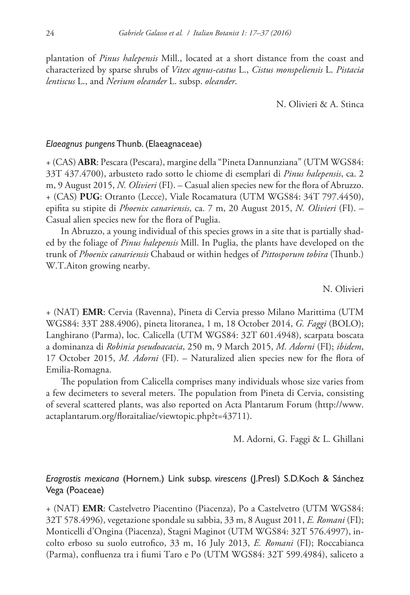plantation of *Pinus halepensis* Mill., located at a short distance from the coast and characterized by sparse shrubs of *Vitex agnus-castus* L., *Cistus monspeliensis* L. *Pistacia lentiscus* L., and *Nerium oleander* L. subsp. *oleander*.

N. Olivieri & A. Stinca

#### *Elaeagnus pungens* Thunb. (Elaeagnaceae)

+ (CAS) **ABR**: Pescara (Pescara), margine della "Pineta Dannunziana" (UTM WGS84: 33T 437.4700), arbusteto rado sotto le chiome di esemplari di *Pinus halepensis*, ca. 2 m, 9 August 2015, *N. Olivieri* (FI). – Casual alien species new for the flora of Abruzzo. + (CAS) **PUG**: Otranto (Lecce), Viale Rocamatura (UTM WGS84: 34T 797.4450), epifita su stipite di *Phoenix canariensis*, ca. 7 m, 20 August 2015, *N. Olivieri* (FI). – Casual alien species new for the flora of Puglia.

In Abruzzo, a young individual of this species grows in a site that is partially shaded by the foliage of *Pinus halepensis* Mill. In Puglia, the plants have developed on the trunk of *Phoenix canariensis* Chabaud or within hedges of *Pittosporum tobira* (Thunb.) W.T.Aiton growing nearby.

N. Olivieri

+ (NAT) **EMR**: Cervia (Ravenna), Pineta di Cervia presso Milano Marittima (UTM WGS84: 33T 288.4906), pineta litoranea, 1 m, 18 October 2014, *G. Faggi* (BOLO); Langhirano (Parma), loc. Calicella (UTM WGS84: 32T 601.4948), scarpata boscata a dominanza di *Robinia pseudoacacia*, 250 m, 9 March 2015, *M. Adorni* (FI); *ibidem*, 17 October 2015, *M. Adorni* (FI). – Naturalized alien species new for fhe flora of Emilia-Romagna.

The population from Calicella comprises many individuals whose size varies from a few decimeters to several meters. The population from Pineta di Cervia, consisting of several scattered plants, was also reported on Acta Plantarum Forum ([http://www.](http://www.actaplantarum.org/floraitaliae/viewtopic.php?t=43711) [actaplantarum.org/floraitaliae/viewtopic.php?t=43711\)](http://www.actaplantarum.org/floraitaliae/viewtopic.php?t=43711).

M. Adorni, G. Faggi & L. Ghillani

*Eragrostis mexicana* (Hornem.) Link subsp. *virescens* (J.Presl) S.D.Koch & Sánchez Vega (Poaceae)

+ (NAT) **EMR**: Castelvetro Piacentino (Piacenza), Po a Castelvetro (UTM WGS84: 32T 578.4996), vegetazione spondale su sabbia, 33 m, 8 August 2011, *E. Romani* (FI); Monticelli d'Ongina (Piacenza), Stagni Maginot (UTM WGS84: 32T 576.4997), incolto erboso su suolo eutrofico, 33 m, 16 July 2013, *E. Romani* (FI); Roccabianca (Parma), confluenza tra i fiumi Taro e Po (UTM WGS84: 32T 599.4984), saliceto a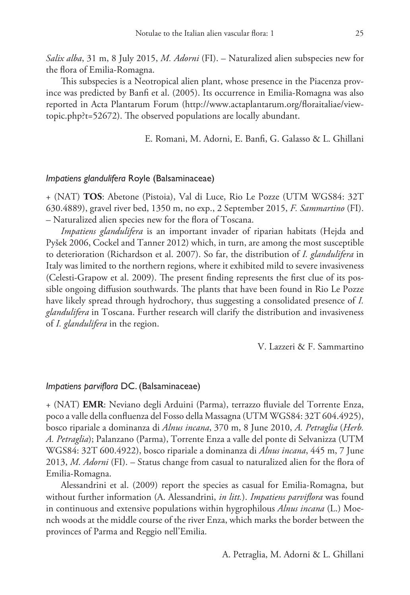*Salix alba*, 31 m, 8 July 2015, *M. Adorni* (FI). – Naturalized alien subspecies new for the flora of Emilia-Romagna.

This subspecies is a Neotropical alien plant, whose presence in the Piacenza province was predicted by Banfi et al. (2005). Its occurrence in Emilia-Romagna was also reported in Acta Plantarum Forum [\(http://www.actaplantarum.org/floraitaliae/view](http://www.actaplantarum.org/floraitaliae/viewtopic.php?t=52672)[topic.php?t=52672](http://www.actaplantarum.org/floraitaliae/viewtopic.php?t=52672)). The observed populations are locally abundant.

E. Romani, M. Adorni, E. Banfi, G. Galasso & L. Ghillani

## *Impatiens glandulifera* Royle (Balsaminaceae)

+ (NAT) **TOS**: Abetone (Pistoia), Val di Luce, Rio Le Pozze (UTM WGS84: 32T 630.4889), gravel river bed, 1350 m, no exp., 2 September 2015, *F. Sammartino* (FI). – Naturalized alien species new for the flora of Toscana.

*Impatiens glandulifera* is an important invader of riparian habitats (Hejda and Pyšek 2006, Cockel and Tanner 2012) which, in turn, are among the most susceptible to deterioration (Richardson et al. 2007). So far, the distribution of *I. glandulifera* in Italy was limited to the northern regions, where it exhibited mild to severe invasiveness (Celesti-Grapow et al. 2009). The present finding represents the first clue of its possible ongoing diffusion southwards. The plants that have been found in Rio Le Pozze have likely spread through hydrochory, thus suggesting a consolidated presence of *I. glandulifera* in Toscana. Further research will clarify the distribution and invasiveness of *I. glandulifera* in the region.

V. Lazzeri & F. Sammartino

## *Impatiens parviflora* DC. (Balsaminaceae)

+ (NAT) **EMR**: Neviano degli Arduini (Parma), terrazzo fluviale del Torrente Enza, poco a valle della confluenza del Fosso della Massagna (UTM WGS84: 32T 604.4925), bosco ripariale a dominanza di *Alnus incana*, 370 m, 8 June 2010, *A. Petraglia* (*Herb. A. Petraglia*); Palanzano (Parma), Torrente Enza a valle del ponte di Selvanizza (UTM WGS84: 32T 600.4922), bosco ripariale a dominanza di *Alnus incana*, 445 m, 7 June 2013, *M. Adorni* (FI). – Status change from casual to naturalized alien for the flora of Emilia-Romagna.

Alessandrini et al. (2009) report the species as casual for Emilia-Romagna, but without further information (A. Alessandrini, *in litt.*). *Impatiens parviflora* was found in continuous and extensive populations within hygrophilous *Alnus incana* (L.) Moench woods at the middle course of the river Enza, which marks the border between the provinces of Parma and Reggio nell'Emilia.

A. Petraglia, M. Adorni & L. Ghillani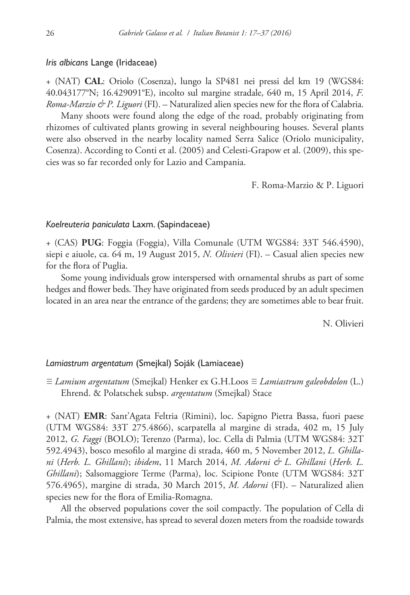#### *Iris albicans* Lange (Iridaceae)

+ (NAT) **CAL**: Oriolo (Cosenza), lungo la SP481 nei pressi del km 19 (WGS84: 40.043177°N; 16.429091°E), incolto sul margine stradale, 640 m, 15 April 2014, *F. Roma-Marzio & P. Liguori* (FI). – Naturalized alien species new for the flora of Calabria.

Many shoots were found along the edge of the road, probably originating from rhizomes of cultivated plants growing in several neighbouring houses. Several plants were also observed in the nearby locality named Serra Salice (Oriolo municipality, Cosenza). According to Conti et al. (2005) and Celesti-Grapow et al. (2009), this species was so far recorded only for Lazio and Campania.

F. Roma-Marzio & P. Liguori

#### *Koelreuteria paniculata* Laxm. (Sapindaceae)

+ (CAS) **PUG**: Foggia (Foggia), Villa Comunale (UTM WGS84: 33T 546.4590), siepi e aiuole, ca. 64 m, 19 August 2015, *N. Olivieri* (FI). – Casual alien species new for the flora of Puglia.

Some young individuals grow interspersed with ornamental shrubs as part of some hedges and flower beds. They have originated from seeds produced by an adult specimen located in an area near the entrance of the gardens; they are sometimes able to bear fruit.

N. Olivieri

## *Lamiastrum argentatum* (Smejkal) Soják (Lamiaceae)

≡ *Lamium argentatum* (Smejkal) Henker ex G.H.Loos ≡ *Lamiastrum galeobdolon* (L.) Ehrend. & Polatschek subsp. *argentatum* (Smejkal) Stace

+ (NAT) **EMR**: Sant'Agata Feltria (Rimini), loc. Sapigno Pietra Bassa, fuori paese (UTM WGS84: 33T 275.4866), scarpatella al margine di strada, 402 m, 15 July 2012, *G. Faggi* (BOLO); Terenzo (Parma), loc. Cella di Palmia (UTM WGS84: 32T 592.4943), bosco mesofilo al margine di strada, 460 m, 5 November 2012, *L. Ghillani* (*Herb. L. Ghillani*); *ibidem*, 11 March 2014, *M. Adorni & L. Ghillani* (*Herb. L. Ghillani*); Salsomaggiore Terme (Parma), loc. Scipione Ponte (UTM WGS84: 32T 576.4965), margine di strada, 30 March 2015, *M. Adorni* (FI). – Naturalized alien species new for the flora of Emilia-Romagna.

All the observed populations cover the soil compactly. The population of Cella di Palmia, the most extensive, has spread to several dozen meters from the roadside towards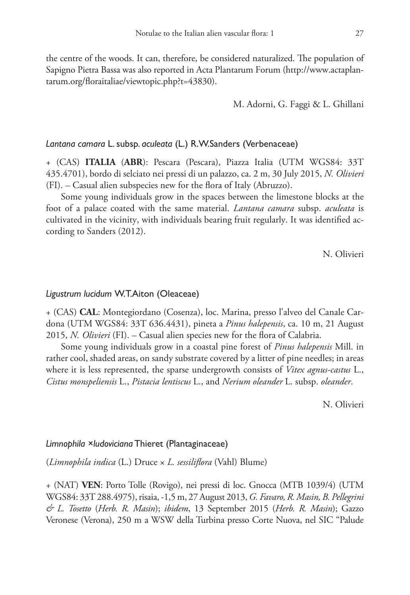the centre of the woods. It can, therefore, be considered naturalized. The population of Sapigno Pietra Bassa was also reported in Acta Plantarum Forum [\(http://www.actaplan](http://www.actaplantarum.org/floraitaliae/viewtopic.php?t=43830)[tarum.org/floraitaliae/viewtopic.php?t=43830\)](http://www.actaplantarum.org/floraitaliae/viewtopic.php?t=43830).

M. Adorni, G. Faggi & L. Ghillani

#### *Lantana camara* L. subsp. *aculeata* (L.) R.W.Sanders (Verbenaceae)

+ (CAS) **ITALIA** (**ABR**): Pescara (Pescara), Piazza Italia (UTM WGS84: 33T 435.4701), bordo di selciato nei pressi di un palazzo, ca. 2 m, 30 July 2015, *N. Olivieri* (FI). – Casual alien subspecies new for the flora of Italy (Abruzzo).

Some young individuals grow in the spaces between the limestone blocks at the foot of a palace coated with the same material. *Lantana camara* subsp. *aculeata* is cultivated in the vicinity, with individuals bearing fruit regularly. It was identified according to Sanders (2012).

N. Olivieri

#### *Ligustrum lucidum* W.T.Aiton (Oleaceae)

+ (CAS) **CAL**: Montegiordano (Cosenza), loc. Marina, presso l'alveo del Canale Cardona (UTM WGS84: 33T 636.4431), pineta a *Pinus halepensis*, ca. 10 m, 21 August 2015, *N. Olivieri* (FI). – Casual alien species new for the flora of Calabria.

Some young individuals grow in a coastal pine forest of *Pinus halepensis* Mill. in rather cool, shaded areas, on sandy substrate covered by a litter of pine needles; in areas where it is less represented, the sparse undergrowth consists of *Vitex agnus-castus* L., *Cistus monspeliensis* L., *Pistacia lentiscus* L., and *Nerium oleander* L. subsp. *oleander*.

N. Olivieri

#### *Limnophila ×ludoviciana* Thieret (Plantaginaceae)

(*Limnophila indica* (L.) Druce × *L. sessiliflora* (Vahl) Blume)

+ (NAT) **VEN**: Porto Tolle (Rovigo), nei pressi di loc. Gnocca (MTB 1039/4) (UTM WGS84: 33T 288.4975), risaia, -1,5 m, 27 August 2013, *G. Favaro, R. Masin, B. Pellegrini & L. Tosetto* (*Herb. R. Masin*); *ibidem*, 13 September 2015 (*Herb. R. Masin*); Gazzo Veronese (Verona), 250 m a WSW della Turbina presso Corte Nuova, nel SIC "Palude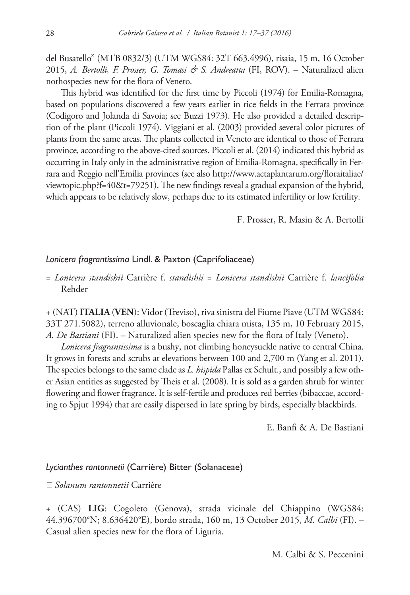del Busatello" (MTB 0832/3) (UTM WGS84: 32T 663.4996), risaia, 15 m, 16 October 2015, *A. Bertolli, F. Prosser, G. Tomasi & S. Andreatta* (FI, ROV). – Naturalized alien nothospecies new for the flora of Veneto.

This hybrid was identified for the first time by Piccoli (1974) for Emilia-Romagna, based on populations discovered a few years earlier in rice fields in the Ferrara province (Codigoro and Jolanda di Savoia; see Buzzi 1973). He also provided a detailed description of the plant (Piccoli 1974). Viggiani et al. (2003) provided several color pictures of plants from the same areas. The plants collected in Veneto are identical to those of Ferrara province, according to the above-cited sources. Piccoli et al. (2014) indicated this hybrid as occurring in Italy only in the administrative region of Emilia-Romagna, specifically in Ferrara and Reggio nell'Emilia provinces (see also [http://www.actaplantarum.org/floraitaliae/](http://www.actaplantarum.org/floraitaliae/viewtopic.php?f=40&t=79251) [viewtopic.php?f=40&t=79251\)](http://www.actaplantarum.org/floraitaliae/viewtopic.php?f=40&t=79251). The new findings reveal a gradual expansion of the hybrid, which appears to be relatively slow, perhaps due to its estimated infertility or low fertility.

F. Prosser, R. Masin & A. Bertolli

## *Lonicera fragrantissima* Lindl. & Paxton (Caprifoliaceae)

= *Lonicera standishii* Carrière f. *standishii* = *Lonicera standishii* Carrière f. *lancifolia* Rehder

+ (NAT) **ITALIA** (**VEN**): Vidor (Treviso), riva sinistra del Fiume Piave (UTM WGS84: 33T 271.5082), terreno alluvionale, boscaglia chiara mista, 135 m, 10 February 2015, *A. De Bastiani* (FI). – Naturalized alien species new for the flora of Italy (Veneto).

*Lonicera fragrantissima* is a bushy, not climbing honeysuckle native to central China. It grows in forests and scrubs at elevations between 100 and 2,700 m (Yang et al. 2011). The species belongs to the same clade as *L. hispida* Pallas ex Schult., and possibly a few other Asian entities as suggested by Theis et al. (2008). It is sold as a garden shrub for winter flowering and flower fragrance. It is self-fertile and produces red berries (bibaccae, according to Spjut 1994) that are easily dispersed in late spring by birds, especially blackbirds.

E. Banfi & A. De Bastiani

#### *Lycianthes rantonnetii* (Carrière) Bitter (Solanaceae)

≡ *Solanum rantonnetii* Carrière

+ (CAS) **LIG**: Cogoleto (Genova), strada vicinale del Chiappino (WGS84: 44.396700°N; 8.636420°E), bordo strada, 160 m, 13 October 2015, *M. Calbi* (FI). – Casual alien species new for the flora of Liguria.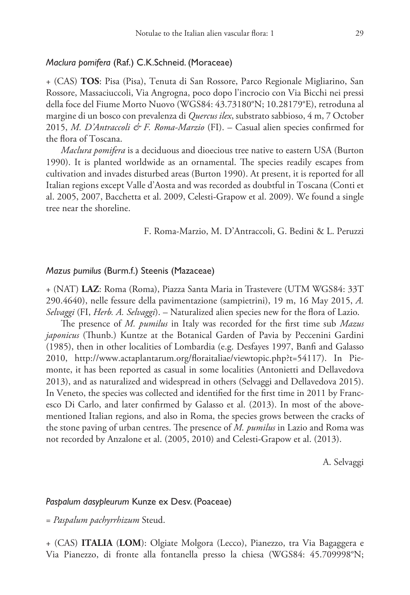#### *Maclura pomifera* (Raf.) C.K.Schneid. (Moraceae)

+ (CAS) **TOS**: Pisa (Pisa), Tenuta di San Rossore, Parco Regionale Migliarino, San Rossore, Massaciuccoli, Via Angrogna, poco dopo l'incrocio con Via Bicchi nei pressi della foce del Fiume Morto Nuovo (WGS84: 43.73180°N; 10.28179°E), retroduna al margine di un bosco con prevalenza di *Quercus ilex*, substrato sabbioso, 4 m, 7 October 2015, *M. D'Antraccoli & F. Roma-Marzio* (FI). – Casual alien species confirmed for the flora of Toscana.

*Maclura pomifera* is a deciduous and dioecious tree native to eastern USA (Burton 1990). It is planted worldwide as an ornamental. The species readily escapes from cultivation and invades disturbed areas (Burton 1990). At present, it is reported for all Italian regions except Valle d'Aosta and was recorded as doubtful in Toscana (Conti et al. 2005, 2007, Bacchetta et al. 2009, Celesti-Grapow et al. 2009). We found a single tree near the shoreline.

F. Roma-Marzio, M. D'Antraccoli, G. Bedini & L. Peruzzi

#### *Mazus pumilus* (Burm.f.) Steenis (Mazaceae)

+ (NAT) **LAZ**: Roma (Roma), Piazza Santa Maria in Trastevere (UTM WGS84: 33T 290.4640), nelle fessure della pavimentazione (sampietrini), 19 m, 16 May 2015, *A. Selvaggi* (FI, *Herb. A. Selvaggi*). – Naturalized alien species new for the flora of Lazio.

The presence of *M. pumilus* in Italy was recorded for the first time sub *Mazus japonicus* (Thunb.) Kuntze at the Botanical Garden of Pavia by Peccenini Gardini (1985), then in other localities of Lombardia (e.g. Desfayes 1997, Banfi and Galasso 2010, [http://www.actaplantarum.org/floraitaliae/viewtopic.php?t=54117\)](http://www.actaplantarum.org/floraitaliae/viewtopic.php?t=54117). In Piemonte, it has been reported as casual in some localities (Antonietti and Dellavedova 2013), and as naturalized and widespread in others (Selvaggi and Dellavedova 2015). In Veneto, the species was collected and identified for the first time in 2011 by Francesco Di Carlo, and later confirmed by Galasso et al. (2013). In most of the abovementioned Italian regions, and also in Roma, the species grows between the cracks of the stone paving of urban centres. The presence of *M. pumilus* in Lazio and Roma was not recorded by Anzalone et al. (2005, 2010) and Celesti-Grapow et al. (2013).

A. Selvaggi

## *Paspalum dasypleurum* Kunze ex Desv. (Poaceae)

= *Paspalum pachyrrhizum* Steud.

+ (CAS) **ITALIA** (**LOM**): Olgiate Molgora (Lecco), Pianezzo, tra Via Bagaggera e Via Pianezzo, di fronte alla fontanella presso la chiesa (WGS84: 45.709998°N;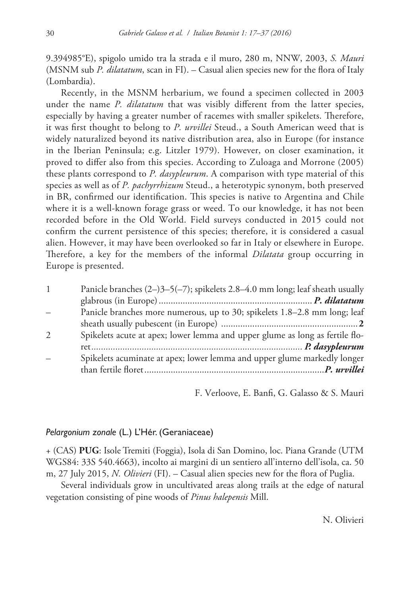9.394985°E), spigolo umido tra la strada e il muro, 280 m, NNW, 2003, *S. Mauri* (MSNM sub *P. dilatatum*, scan in FI). – Casual alien species new for the flora of Italy (Lombardia).

Recently, in the MSNM herbarium, we found a specimen collected in 2003 under the name *P. dilatatum* that was visibly different from the latter species, especially by having a greater number of racemes with smaller spikelets. Therefore, it was first thought to belong to *P. urvillei* Steud., a South American weed that is widely naturalized beyond its native distribution area, also in Europe (for instance in the Iberian Peninsula; e.g. Litzler 1979). However, on closer examination, it proved to differ also from this species. According to Zuloaga and Morrone (2005) these plants correspond to *P. dasypleurum*. A comparison with type material of this species as well as of *P. pachyrrhizum* Steud., a heterotypic synonym, both preserved in BR, confirmed our identification. This species is native to Argentina and Chile where it is a well-known forage grass or weed. To our knowledge, it has not been recorded before in the Old World. Field surveys conducted in 2015 could not confirm the current persistence of this species; therefore, it is considered a casual alien. However, it may have been overlooked so far in Italy or elsewhere in Europe. Therefore, a key for the members of the informal *Dilatata* group occurring in Europe is presented.

| Panicle branches $(2-)3-5(-7)$ ; spikelets 2.8-4.0 mm long; leaf sheath usually |
|---------------------------------------------------------------------------------|
|                                                                                 |
| Panicle branches more numerous, up to 30; spikelets 1.8–2.8 mm long; leaf       |
|                                                                                 |
| Spikelets acute at apex; lower lemma and upper glume as long as fertile flo-    |
|                                                                                 |
| Spikelets acuminate at apex; lower lemma and upper glume markedly longer        |
|                                                                                 |
|                                                                                 |

F. Verloove, E. Banfi, G. Galasso & S. Mauri

## *Pelargonium zonale* (L.) L'Hér. (Geraniaceae)

+ (CAS) **PUG**: Isole Tremiti (Foggia), Isola di San Domino, loc. Piana Grande (UTM WGS84: 33S 540.4663), incolto ai margini di un sentiero all'interno dell'isola, ca. 50 m, 27 July 2015, *N. Olivieri* (FI). – Casual alien species new for the flora of Puglia.

Several individuals grow in uncultivated areas along trails at the edge of natural vegetation consisting of pine woods of *Pinus halepensis* Mill.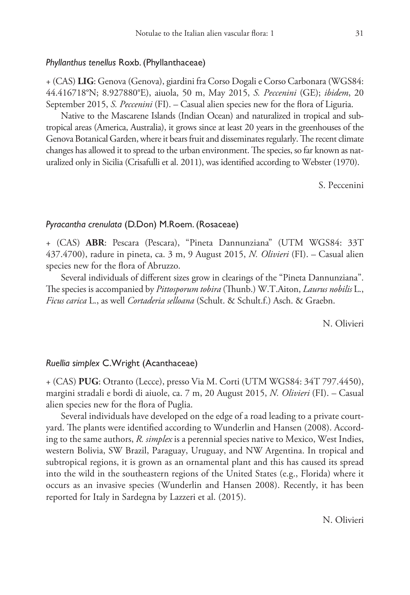#### *Phyllanthus tenellus* Roxb. (Phyllanthaceae)

+ (CAS) **LIG**: Genova (Genova), giardini fra Corso Dogali e Corso Carbonara (WGS84: 44.416718°N; 8.927880°E), aiuola, 50 m, May 2015, *S. Peccenini* (GE); *ibidem*, 20 September 2015, *S. Peccenini* (FI). – Casual alien species new for the flora of Liguria.

Native to the Mascarene Islands (Indian Ocean) and naturalized in tropical and subtropical areas (America, Australia), it grows since at least 20 years in the greenhouses of the Genova Botanical Garden, where it bears fruit and disseminates regularly. The recent climate changes has allowed it to spread to the urban environment. The species, so far known as naturalized only in Sicilia (Crisafulli et al. 2011), was identified according to Webster (1970).

S. Peccenini

#### *Pyracantha crenulata* (D.Don) M.Roem. (Rosaceae)

+ (CAS) **ABR**: Pescara (Pescara), "Pineta Dannunziana" (UTM WGS84: 33T 437.4700), radure in pineta, ca. 3 m, 9 August 2015, *N. Olivieri* (FI). – Casual alien species new for the flora of Abruzzo.

Several individuals of different sizes grow in clearings of the "Pineta Dannunziana". The species is accompanied by *Pittosporum tobira* (Thunb.) W.T.Aiton, *Laurus nobilis* L., *Ficus carica* L., as well *Cortaderia selloana* (Schult. & Schult.f.) Asch. & Graebn.

N. Olivieri

## *Ruellia simplex* C.Wright (Acanthaceae)

+ (CAS) **PUG**: Otranto (Lecce), presso Via M. Corti (UTM WGS84: 34T 797.4450), margini stradali e bordi di aiuole, ca. 7 m, 20 August 2015, *N. Olivieri* (FI). – Casual alien species new for the flora of Puglia.

Several individuals have developed on the edge of a road leading to a private courtyard. The plants were identified according to Wunderlin and Hansen (2008). According to the same authors, *R. simplex* is a perennial species native to Mexico, West Indies, western Bolivia, SW Brazil, Paraguay, Uruguay, and NW Argentina. In tropical and subtropical regions, it is grown as an ornamental plant and this has caused its spread into the wild in the southeastern regions of the United States (e.g., Florida) where it occurs as an invasive species (Wunderlin and Hansen 2008). Recently, it has been reported for Italy in Sardegna by Lazzeri et al. (2015).

N. Olivieri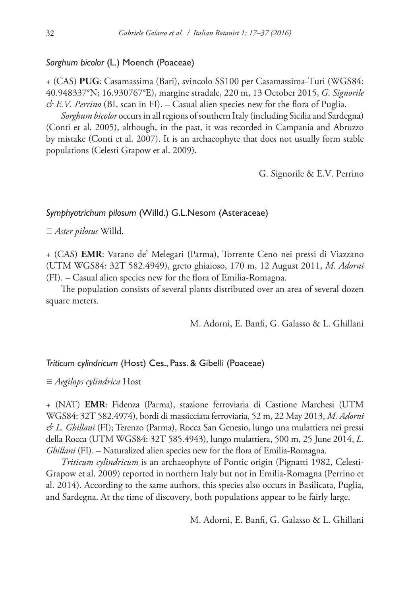## *Sorghum bicolor* (L.) Moench (Poaceae)

+ (CAS) **PUG**: Casamassima (Bari), svincolo SS100 per Casamassima-Turi (WGS84: 40.948337°N; 16.930767°E), margine stradale, 220 m, 13 October 2015, *G. Signorile & E.V. Perrino* (BI, scan in FI). – Casual alien species new for the flora of Puglia.

*Sorghum bicolor* occurs in all regions of southern Italy (including Sicilia and Sardegna) (Conti et al. 2005), although, in the past, it was recorded in Campania and Abruzzo by mistake (Conti et al. 2007). It is an archaeophyte that does not usually form stable populations (Celesti Grapow et al. 2009).

G. Signorile & E.V. Perrino

## *Symphyotrichum pilosum* (Willd.) G.L.Nesom (Asteraceae)

≡ *Aster pilosus* Willd.

+ (CAS) **EMR**: Varano de' Melegari (Parma), Torrente Ceno nei pressi di Viazzano (UTM WGS84: 32T 582.4949), greto ghiaioso, 170 m, 12 August 2011, *M. Adorni* (FI). – Casual alien species new for the flora of Emilia-Romagna.

The population consists of several plants distributed over an area of several dozen square meters.

M. Adorni, E. Banfi, G. Galasso & L. Ghillani

## *Triticum cylindricum* (Host) Ces., Pass. & Gibelli (Poaceae)

≡ *Aegilops cylindrica* Host

+ (NAT) **EMR**: Fidenza (Parma), stazione ferroviaria di Castione Marchesi (UTM WGS84: 32T 582.4974), bordi di massicciata ferroviaria, 52 m, 22 May 2013, *M. Adorni & L. Ghillani* (FI); Terenzo (Parma), Rocca San Genesio, lungo una mulattiera nei pressi della Rocca (UTM WGS84: 32T 585.4943), lungo mulattiera, 500 m, 25 June 2014, *L. Ghillani* (FI). – Naturalized alien species new for the flora of Emilia-Romagna.

*Triticum cylindricum* is an archaeophyte of Pontic origin (Pignatti 1982, Celesti-Grapow et al. 2009) reported in northern Italy but not in Emilia-Romagna (Perrino et al. 2014). According to the same authors, this species also occurs in Basilicata, Puglia, and Sardegna. At the time of discovery, both populations appear to be fairly large.

M. Adorni, E. Banfi, G. Galasso & L. Ghillani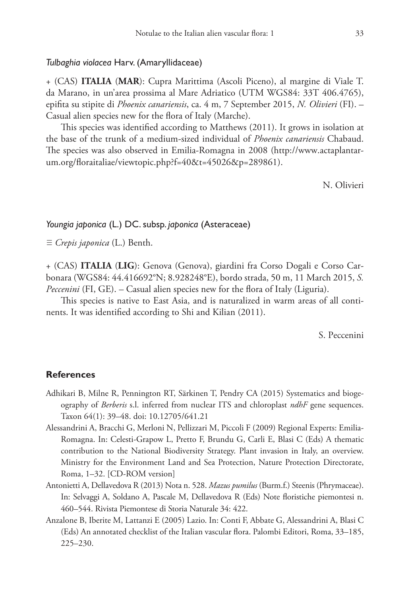#### *Tulbaghia violacea* Harv. (Amaryllidaceae)

+ (CAS) **ITALIA** (**MAR**): Cupra Marittima (Ascoli Piceno), al margine di Viale T. da Marano, in un'area prossima al Mare Adriatico (UTM WGS84: 33T 406.4765), epifita su stipite di *Phoenix canariensis*, ca. 4 m, 7 September 2015, *N. Olivieri* (FI). – Casual alien species new for the flora of Italy (Marche).

This species was identified according to Matthews (2011). It grows in isolation at the base of the trunk of a medium-sized individual of *Phoenix canariensis* Chabaud. The species was also observed in Emilia-Romagna in 2008 ([http://www.actaplantar](http://www.actaplantarum.org/floraitaliae/viewtopic.php?f=40&t=45026&p=289861)[um.org/floraitaliae/viewtopic.php?f=40&t=45026&p=289861\)](http://www.actaplantarum.org/floraitaliae/viewtopic.php?f=40&t=45026&p=289861).

N. Olivieri

#### *Youngia japonica* (L.) DC. subsp. *japonica* (Asteraceae)

≡ *Crepis japonica* (L.) Benth.

+ (CAS) **ITALIA** (**LIG**): Genova (Genova), giardini fra Corso Dogali e Corso Carbonara (WGS84: 44.416692°N; 8.928248°E), bordo strada, 50 m, 11 March 2015, *S. Peccenini* (FI, GE). – Casual alien species new for the flora of Italy (Liguria).

This species is native to East Asia, and is naturalized in warm areas of all continents. It was identified according to Shi and Kilian (2011).

S. Peccenini

## **References**

- Adhikari B, Milne R, Pennington RT, Särkinen T, Pendry CA (2015) Systematics and biogeography of *Berberis* s.l. inferred from nuclear ITS and chloroplast *ndhF* gene sequences. Taxon 64(1): 39–48. [doi: 10.12705/641.21](http://dx.doi.org/10.12705/641.21)
- Alessandrini A, Bracchi G, Merloni N, Pellizzari M, Piccoli F (2009) Regional Experts: Emilia-Romagna. In: Celesti-Grapow L, Pretto F, Brundu G, Carli E, Blasi C (Eds) A thematic contribution to the National Biodiversity Strategy. Plant invasion in Italy, an overview. Ministry for the Environment Land and Sea Protection, Nature Protection Directorate, Roma, 1–32. [CD-ROM version]
- Antonietti A, Dellavedova R (2013) Nota n. 528. *Mazus pumilus* (Burm.f.) Steenis (Phrymaceae). In: Selvaggi A, Soldano A, Pascale M, Dellavedova R (Eds) Note floristiche piemontesi n. 460–544. Rivista Piemontese di Storia Naturale 34: 422.
- Anzalone B, Iberite M, Lattanzi E (2005) Lazio. In: Conti F, Abbate G, Alessandrini A, Blasi C (Eds) An annotated checklist of the Italian vascular flora. Palombi Editori, Roma, 33–185, 225–230.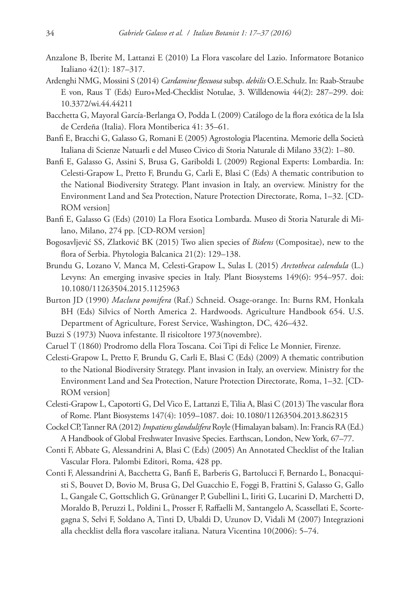- Anzalone B, Iberite M, Lattanzi E (2010) La Flora vascolare del Lazio. Informatore Botanico Italiano 42(1): 187–317.
- Ardenghi NMG, Mossini S (2014) *Cardamine flexuosa* subsp. *debilis* O.E.Schulz. In: Raab-Straube E von, Raus T (Eds) Euro+Med-Checklist Notulae, 3. Willdenowia 44(2): 287–299. [doi:](http://dx.doi.org/10.3372/wi.44.44211) [10.3372/wi.44.44211](http://dx.doi.org/10.3372/wi.44.44211)
- Bacchetta G, Mayoral García-Berlanga O, Podda L (2009) Catálogo de la flora exótica de la Isla de Cerdeña (Italia). Flora Montiberica 41: 35–61.
- Banfi E, Bracchi G, Galasso G, Romani E (2005) Agrostologia Placentina. Memorie della Società Italiana di Scienze Natuarli e del Museo Civico di Storia Naturale di Milano 33(2): 1–80.
- Banfi E, Galasso G, Assini S, Brusa G, Gariboldi L (2009) Regional Experts: Lombardia. In: Celesti-Grapow L, Pretto F, Brundu G, Carli E, Blasi C (Eds) A thematic contribution to the National Biodiversity Strategy. Plant invasion in Italy, an overview. Ministry for the Environment Land and Sea Protection, Nature Protection Directorate, Roma, 1–32. [CD-ROM version]
- Banfi E, Galasso G (Eds) (2010) La Flora Esotica Lombarda. Museo di Storia Naturale di Milano, Milano, 274 pp. [CD-ROM version]
- Bogosavljević SS, Zlatković BK (2015) Two alien species of *Bidens* (Compositae), new to the flora of Serbia. Phytologia Balcanica 21(2): 129–138.
- Brundu G, Lozano V, Manca M, Celesti-Grapow L, Sulas L (2015) *Arctotheca calendula* (L.) Levyns: An emerging invasive species in Italy. Plant Biosystems 149(6): 954–957. [doi:](http://dx.doi.org/10.1080/11263504.2015.1125963) [10.1080/11263504.2015.1125963](http://dx.doi.org/10.1080/11263504.2015.1125963)
- Burton JD (1990) *Maclura pomifera* (Raf.) Schneid. Osage-orange. In: Burns RM, Honkala BH (Eds) Silvics of North America 2. Hardwoods. Agriculture Handbook 654. U.S. Department of Agriculture, Forest Service, Washington, DC, 426–432.
- Buzzi S (1973) Nuova infestante. Il risicoltore 1973(novembre).
- Caruel T (1860) Prodromo della Flora Toscana. Coi Tipi di Felice Le Monnier, Firenze.
- Celesti-Grapow L, Pretto F, Brundu G, Carli E, Blasi C (Eds) (2009) A thematic contribution to the National Biodiversity Strategy. Plant invasion in Italy, an overview. Ministry for the Environment Land and Sea Protection, Nature Protection Directorate, Roma, 1–32. [CD-ROM version]
- Celesti-Grapow L, Capotorti G, Del Vico E, Lattanzi E, Tilia A, Blasi C (2013) The vascular flora of Rome. Plant Biosystems 147(4): 1059–1087. [doi: 10.1080/11263504.2013.862315](http://dx.doi.org/10.1080/11263504.2013.862315)
- Cockel CP, Tanner RA (2012) *Impatiens glandulifera* Royle (Himalayan balsam). In: Francis RA (Ed.) A Handbook of Global Freshwater Invasive Species. Earthscan, London, New York, 67–77.
- Conti F, Abbate G, Alessandrini A, Blasi C (Eds) (2005) An Annotated Checklist of the Italian Vascular Flora. Palombi Editori, Roma, 428 pp.
- Conti F, Alessandrini A, Bacchetta G, Banfi E, Barberis G, Bartolucci F, Bernardo L, Bonacquisti S, Bouvet D, Bovio M, Brusa G, Del Guacchio E, Foggi B, Frattini S, Galasso G, Gallo L, Gangale C, Gottschlich G, Grünanger P, Gubellini L, Iiriti G, Lucarini D, Marchetti D, Moraldo B, Peruzzi L, Poldini L, Prosser F, Raffaelli M, Santangelo A, Scassellati E, Scortegagna S, Selvi F, Soldano A, Tinti D, Ubaldi D, Uzunov D, Vidali M (2007) Integrazioni alla checklist della flora vascolare italiana. Natura Vicentina 10(2006): 5–74.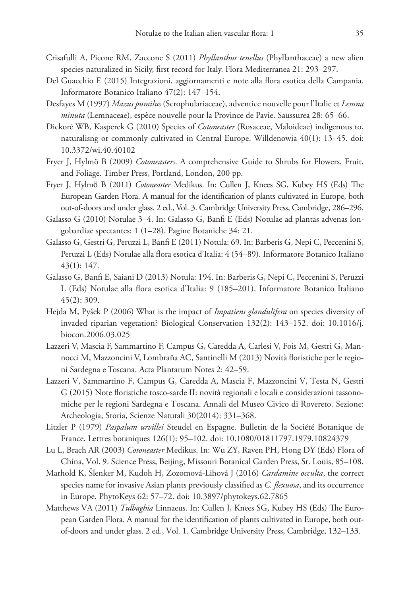- Crisafulli A, Picone RM, Zaccone S (2011) *Phyllanthus tenellus* (Phyllanthaceae) a new alien species naturalized in Sicily, first record for Italy. Flora Mediterranea 21: 293–297.
- Del Guacchio E (2015) Integrazioni, aggiornamenti e note alla flora esotica della Campania. Informatore Botanico Italiano 47(2): 147–154.
- Desfayes M (1997) *Mazus pumilus* (Scrophulariaceae), adventice nouvelle pour l'Italie et *Lemna minuta* (Lemnaceae), espèce nouvelle pour la Province de Pavie. Saussurea 28: 65–66.
- Dickoré WB, Kasperek G (2010) Species of *Cotoneaster* (Rosaceae, Maloideae) indigenous to, naturalisng or commonly cultivated in Central Europe. Willdenowia 40(1): 13–45. [doi:](http://dx.doi.org/10.3372/wi.40.40102) [10.3372/wi.40.40102](http://dx.doi.org/10.3372/wi.40.40102)
- Fryer J, Hylmö B (2009) *Cotoneasters*. A comprehensive Guide to Shrubs for Flowers, Fruit, and Foliage. Timber Press, Portland, London, 200 pp.
- Fryer J, Hylmӧ B (2011) *Cotoneaster* Medikus. In: Cullen J, Knees SG, Kubey HS (Eds) The European Garden Flora. A manual for the identification of plants cultivated in Europe, both out-of-doors and under glass. 2 ed., Vol. 3. Cambridge University Press, Cambridge, 286–296.
- Galasso G (2010) Notulae 3–4. In: Galasso G, Banfi E (Eds) Notulae ad plantas advenas longobardiae spectantes: 1 (1–28). Pagine Botaniche 34: 21.
- Galasso G, Gestri G, Peruzzi L, Banfi E (2011) Notula: 69. In: Barberis G, Nepi C, Peccenini S, Peruzzi L (Eds) Notulae alla flora esotica d'Italia: 4 (54–89). Informatore Botanico Italiano 43(1): 147.
- Galasso G, Banfi E, Saiani D (2013) Notula: 194. In: Barberis G, Nepi C, Peccenini S, Peruzzi L (Eds) Notulae alla flora esotica d'Italia: 9 (185–201). Informatore Botanico Italiano 45(2): 309.
- Hejda M, Pyšek P (2006) What is the impact of *Impatiens glandulifera* on species diversity of invaded riparian vegetation? Biological Conservation 132(2): 143–152. [doi: 10.1016/j.](http://dx.doi.org/10.1016/j.biocon.2006.03.025) [biocon.2006.03.025](http://dx.doi.org/10.1016/j.biocon.2006.03.025)
- Lazzeri V, Mascia F, Sammartino F, Campus G, Caredda A, Carlesi V, Fois M, Gestri G, Mannocci M, Mazzoncini V, Lombraña AC, Santinelli M (2013) Novità floristiche per le regioni Sardegna e Toscana. Acta Plantarum Notes 2: 42–59.
- Lazzeri V, Sammartino F, Campus G, Caredda A, Mascia F, Mazzoncini V, Testa N, Gestri G (2015) Note floristiche tosco-sarde II: novità regionali e locali e considerazioni tassonomiche per le regioni Sardegna e Toscana. Annali del Museo Civico di Rovereto. Sezione: Archeologia, Storia, Scienze Natutali 30(2014): 331–368.
- Litzler P (1979) *Paspalum urvillei* Steudel en Espagne. Bulletin de la Société Botanique de France. Lettres botaniques 126(1): 95–102. [doi: 10.1080/01811797.1979.10824379](http://dx.doi.org/10.1080/01811797.1979.10824379)
- Lu L, Brach AR (2003) *Cotoneaster* Medikus. In: Wu ZY, Raven PH, Hong DY (Eds) Flora of China, Vol. 9. Science Press, Beijing, Missouri Botanical Garden Press, St. Louis, 85–108.
- Marhold K, Šlenker M, Kudoh H, Zozomová-Lihová J (2016) *Cardamine occulta*, the correct species name for invasive Asian plants previously classified as *C. flexuosa*, and its occurrence in Europe. PhytoKeys 62: 57–72. [doi: 10.3897/phytokeys.62.7865](http://dx.doi.org/10.3897/phytokeys.62.7865)
- Matthews VA (2011) *Tulbaghia* Linnaeus. In: Cullen J, Knees SG, Kubey HS (Eds) The European Garden Flora. A manual for the identification of plants cultivated in Europe, both outof-doors and under glass. 2 ed., Vol. 1. Cambridge University Press, Cambridge, 132–133.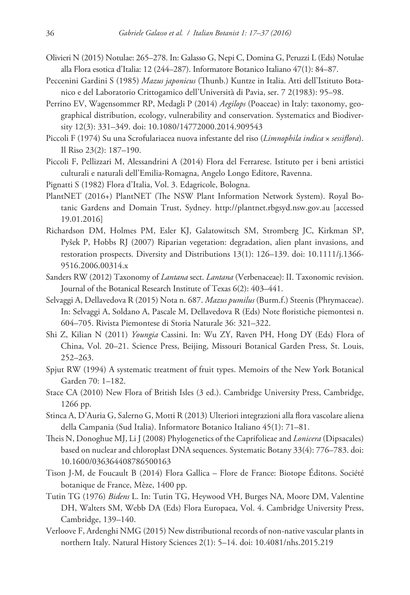- Olivieri N (2015) Notulae: 265–278. In: Galasso G, Nepi C, Domina G, Peruzzi L (Eds) Notulae alla Flora esotica d'Italia: 12 (244–287). Informatore Botanico Italiano 47(1): 84–87.
- Peccenini Gardini S (1985) *Mazus japonicus* (Thunb.) Kuntze in Italia. Atti dell'Istituto Botanico e del Laboratorio Crittogamico dell'Università di Pavia, ser. 7 2(1983): 95–98.
- Perrino EV, Wagensommer RP, Medagli P (2014) *Aegilops* (Poaceae) in Italy: taxonomy, geographical distribution, ecology, vulnerability and conservation. Systematics and Biodiversity 12(3): 331–349. [doi: 10.1080/14772000.2014.909543](http://dx.doi.org/10.1080/14772000.2014.909543)
- Piccoli F (1974) Su una Scrofulariacea nuova infestante del riso (*Limnophila indica* × *sessiflora*). Il Riso 23(2): 187–190.
- Piccoli F, Pellizzari M, Alessandrini A (2014) Flora del Ferrarese. Istituto per i beni artistici culturali e naturali dell'Emilia-Romagna, Angelo Longo Editore, Ravenna.
- Pignatti S (1982) Flora d'Italia, Vol. 3. Edagricole, Bologna.
- PlantNET (2016+) PlantNET (The NSW Plant Information Network System). Royal Botanic Gardens and Domain Trust, Sydney. <http://plantnet.rbgsyd.nsw.gov.au>[accessed 19.01.2016]
- Richardson DM, Holmes PM, Esler KJ, Galatowitsch SM, Stromberg JC, Kirkman SP, Pyšek P, Hobbs RJ (2007) Riparian vegetation: degradation, alien plant invasions, and restoration prospects. Diversity and Distributions 13(1): 126–139. [doi: 10.1111/j.1366-](http://dx.doi.org/10.1111/j.1366-9516.2006.00314.x) [9516.2006.00314.x](http://dx.doi.org/10.1111/j.1366-9516.2006.00314.x)
- Sanders RW (2012) Taxonomy of *Lantana* sect. *Lantana* (Verbenaceae): II. Taxonomic revision. Journal of the Botanical Research Institute of Texas 6(2): 403–441.
- Selvaggi A, Dellavedova R (2015) Nota n. 687. *Mazus pumilus* (Burm.f.) Steenis (Phrymaceae). In: Selvaggi A, Soldano A, Pascale M, Dellavedova R (Eds) Note floristiche piemontesi n. 604–705. Rivista Piemontese di Storia Naturale 36: 321–322.
- Shi Z, Kilian N (2011) *Youngia* Cassini. In: Wu ZY, Raven PH, Hong DY (Eds) Flora of China, Vol. 20–21. Science Press, Beijing, Missouri Botanical Garden Press, St. Louis, 252–263.
- Spjut RW (1994) A systematic treatment of fruit types. Memoirs of the New York Botanical Garden 70: 1–182.
- Stace CA (2010) New Flora of British Isles (3 ed.). Cambridge University Press, Cambridge, 1266 pp.
- Stinca A, D'Auria G, Salerno G, Motti R (2013) Ulteriori integrazioni alla flora vascolare aliena della Campania (Sud Italia). Informatore Botanico Italiano 45(1): 71–81.
- Theis N, Donoghue MJ, Li J (2008) Phylogenetics of the Caprifolieae and *Lonicera* (Dipsacales) based on nuclear and chloroplast DNA sequences. Systematic Botany 33(4): 776–783. [doi:](http://dx.doi.org/10.1600/036364408786500163) [10.1600/036364408786500163](http://dx.doi.org/10.1600/036364408786500163)
- Tison J-M, de Foucault B (2014) Flora Gallica Flore de France: Biotope Éditons. Société botanique de France, Mèze, 1400 pp.
- Tutin TG (1976) *Bidens* L. In: Tutin TG, Heywood VH, Burges NA, Moore DM, Valentine DH, Walters SM, Webb DA (Eds) Flora Europaea, Vol. 4. Cambridge University Press, Cambridge, 139–140.
- Verloove F, Ardenghi NMG (2015) New distributional records of non-native vascular plants in northern Italy. Natural History Sciences 2(1): 5–14. [doi: 10.4081/nhs.2015.219](http://dx.doi.org/10.4081/nhs.2015.219)